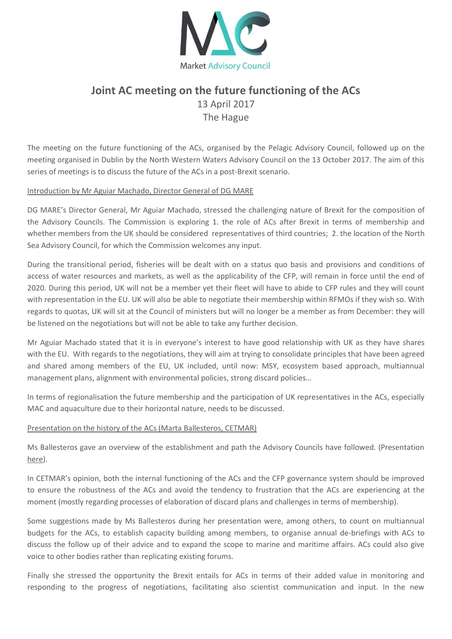

# **Joint AC meeting on the future functioning of the ACs** 13 April 2017 The Hague

The meeting on the future functioning of the ACs, organised by the Pelagic Advisory Council, followed up on the meeting organised in Dublin by the North Western Waters Advisory Council on the 13 October 2017. The aim of this series of meetings is to discuss the future of the ACs in a post-Brexit scenario.

### Introduction by Mr Aguiar Machado, Director General of DG MARE

DG MARE's Director General, Mr Aguiar Machado, stressed the challenging nature of Brexit for the composition of the Advisory Councils. The Commission is exploring 1. the role of ACs after Brexit in terms of membership and whether members from the UK should be considered representatives of third countries; 2. the location of the North Sea Advisory Council, for which the Commission welcomes any input.

During the transitional period, fisheries will be dealt with on a status quo basis and provisions and conditions of access of water resources and markets, as well as the applicability of the CFP, will remain in force until the end of 2020. During this period, UK will not be a member yet their fleet will have to abide to CFP rules and they will count with representation in the EU. UK will also be able to negotiate their membership within RFMOs if they wish so. With regards to quotas, UK will sit at the Council of ministers but will no longer be a member as from December: they will be listened on the negotiations but will not be able to take any further decision.

Mr Aguiar Machado stated that it is in everyone's interest to have good relationship with UK as they have shares with the EU. With regards to the negotiations, they will aim at trying to consolidate principles that have been agreed and shared among members of the EU, UK included, until now: MSY, ecosystem based approach, multiannual management plans, alignment with environmental policies, strong discard policies…

In terms of regionalisation the future membership and the participation of UK representatives in the ACs, especially MAC and aquaculture due to their horizontal nature, needs to be discussed.

#### Presentation on the history of the ACs (Marta Ballesteros, CETMAR)

Ms Ballesteros gave an overview of the establishment and path the Advisory Councils have followed. (Presentation [here\)](http://www.pelagic-ac.org/media/pdf/Presentation%20Ballesteros%20history%20of%20ACs.pdf).

In CETMAR's opinion, both the internal functioning of the ACs and the CFP governance system should be improved to ensure the robustness of the ACs and avoid the tendency to frustration that the ACs are experiencing at the moment (mostly regarding processes of elaboration of discard plans and challenges in terms of membership).

Some suggestions made by Ms Ballesteros during her presentation were, among others, to count on multiannual budgets for the ACs, to establish capacity building among members, to organise annual de-briefings with ACs to discuss the follow up of their advice and to expand the scope to marine and maritime affairs. ACs could also give voice to other bodies rather than replicating existing forums.

Finally she stressed the opportunity the Brexit entails for ACs in terms of their added value in monitoring and responding to the progress of negotiations, facilitating also scientist communication and input. In the new